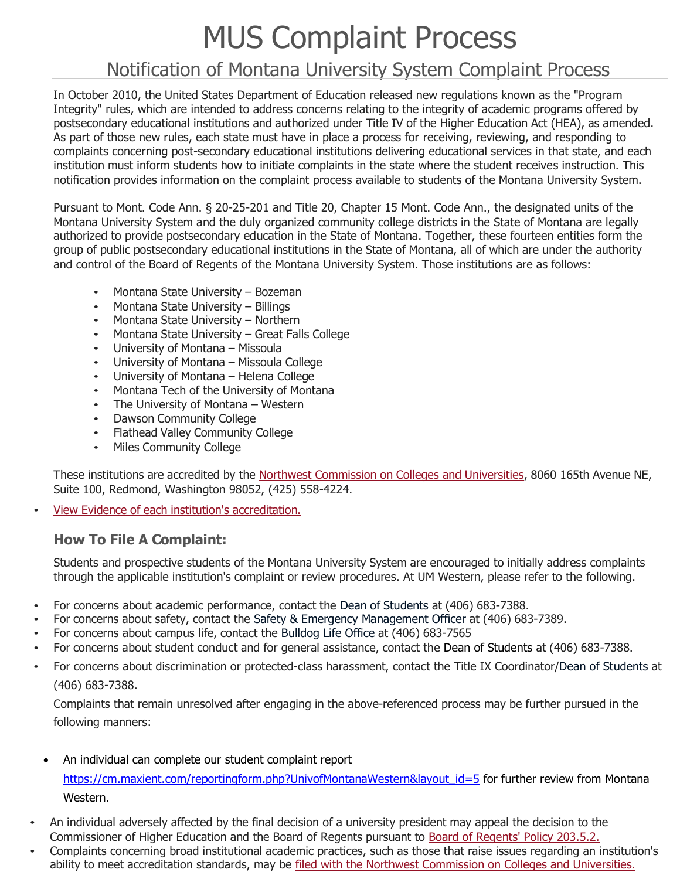## MUS Complaint Process

## Notification of Montana University System Complaint Process

In October 2010, the United States Department of Education released new regulations known as the "Program Integrity" rules, which are intended to address concerns relating to the integrity of academic programs offered by postsecondary educational institutions and authorized under Title IV of the Higher Education Act (HEA), as amended. As part of those new rules, each state must have in place a process for receiving, reviewing, and responding to complaints concerning post-secondary educational institutions delivering educational services in that state, and each institution must inform students how to initiate complaints in the state where the student receives instruction. This notification provides information on the complaint process available to students of the Montana University System.

Pursuant to Mont. Code Ann. § 20-25-201 and Title 20, Chapter 15 Mont. Code Ann., the designated units of the Montana University System and the duly organized community college districts in the State of Montana are legally authorized to provide postsecondary education in the State of Montana. Together, these fourteen entities form the group of public postsecondary educational institutions in the State of Montana, all of which are under the authority and control of the Board of Regents of the Montana University System. Those institutions are as follows:

- Montana State University Bozeman
- Montana State University Billings
- Montana State University Northern
- Montana State University Great Falls College
- University of Montana Missoula
- University of Montana Missoula College
- University of Montana Helena College
- Montana Tech of the University of Montana
- The University of Montana Western
- Dawson Community College
- Flathead Valley Community College
- Miles Community College

These institutions are accredited by the Northwest [Commission](http://www.nwccu.org/) on Colleges and Universities, 8060 165th Avenue NE, Suite 100, Redmond, Washington 98052, (425) 558-4224.

• View Evidence of each institution's [accreditation.](http://www.nwccu.org/)

## **How To File A Complaint:**

Students and prospective students of the Montana University System are encouraged to initially address complaints through the applicable institution's complaint or review procedures. At UM Western, please refer to the following.

- For concerns about academic performance, contact the Dean of Students at (406) 683-7388.
- For concerns about safety, contact the Safety & Emergency Management Officer at (406) 683-7389.
- For concerns about campus life, contact the Bulldog Life Office at (406) 683-7565
- For concerns about student conduct and for general assistance, contact the Dean of Students at (406) 683-7388.
- For concerns about discrimination or protected-class harassment, contact the Title IX Coordinator/Dean of Students at (406) 683-7388.

Complaints that remain unresolved after engaging in the above-referenced process may be further pursued in the following manners:

• An individual can complete our student complaint report

[https://cm.maxient.com/reportingform.php?UnivofMontanaWestern&layout\\_id=5](https://cm.maxient.com/reportingform.php?UnivofMontanaWestern&layout_id=5) for further review from Montana Western.

- An individual adversely affected by the final decision of a university president may appeal the decision to the Commissioner of Higher Education and the Board of Regents pursuant to [Board of Regents' Policy 203.5.2.](http://www.mus.edu/borpol/bor200/203-5-2.pdf)
- Complaints concerning broad institutional academic practices, such as those that raise issues regarding an institution's ability to meet accreditation standards, may be [filed with the Northwest Commission on Colleges and Universities.](http://www.nwccu.org/)